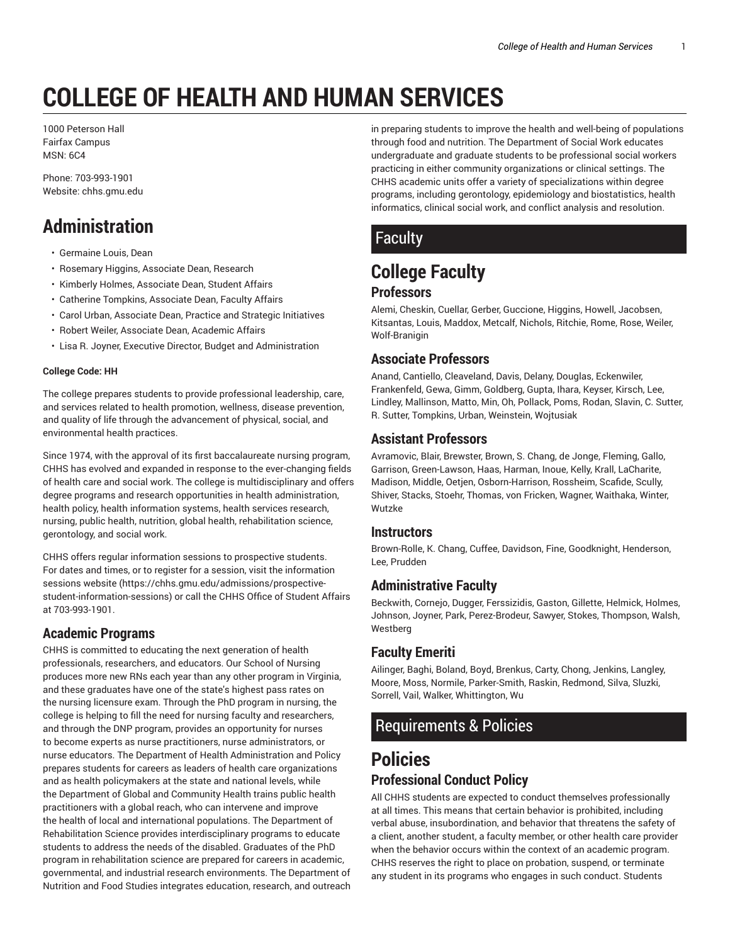# **COLLEGE OF HEALTH AND HUMAN SERVICES**

1000 Peterson Hall Fairfax Campus MSN: 6C4

Phone: 703-993-1901 Website: chhs.gmu.edu

# **Administration**

- Germaine Louis, Dean
- Rosemary Higgins, Associate Dean, Research
- Kimberly Holmes, Associate Dean, Student Affairs
- Catherine Tompkins, Associate Dean, Faculty Affairs
- Carol Urban, Associate Dean, Practice and Strategic Initiatives
- Robert Weiler, Associate Dean, Academic Affairs
- Lisa R. Joyner, Executive Director, Budget and Administration

#### **College Code: HH**

The college prepares students to provide professional leadership, care, and services related to health promotion, wellness, disease prevention, and quality of life through the advancement of physical, social, and environmental health practices.

Since 1974, with the approval of its first baccalaureate nursing program, CHHS has evolved and expanded in response to the ever-changing fields of health care and social work. The college is multidisciplinary and offers degree programs and research opportunities in health administration, health policy, health information systems, health services research, nursing, public health, nutrition, global health, rehabilitation science, gerontology, and social work.

CHHS offers regular information sessions to prospective students. For dates and times, or to register for a session, visit the information sessions website (https://chhs.gmu.edu/admissions/prospectivestudent-information-sessions) or call the CHHS Office of Student Affairs at 703-993-1901.

#### **Academic Programs**

CHHS is committed to educating the next generation of health professionals, researchers, and educators. Our School of Nursing produces more new RNs each year than any other program in Virginia, and these graduates have one of the state's highest pass rates on the nursing licensure exam. Through the PhD program in nursing, the college is helping to fill the need for nursing faculty and researchers, and through the DNP program, provides an opportunity for nurses to become experts as nurse practitioners, nurse administrators, or nurse educators. The Department of Health Administration and Policy prepares students for careers as leaders of health care organizations and as health policymakers at the state and national levels, while the Department of Global and Community Health trains public health practitioners with a global reach, who can intervene and improve the health of local and international populations. The Department of Rehabilitation Science provides interdisciplinary programs to educate students to address the needs of the disabled. Graduates of the PhD program in rehabilitation science are prepared for careers in academic, governmental, and industrial research environments. The Department of Nutrition and Food Studies integrates education, research, and outreach

in preparing students to improve the health and well-being of populations through food and nutrition. The Department of Social Work educates undergraduate and graduate students to be professional social workers practicing in either community organizations or clinical settings. The CHHS academic units offer a variety of specializations within degree programs, including gerontology, epidemiology and biostatistics, health informatics, clinical social work, and conflict analysis and resolution.

## **Faculty**

## **College Faculty Professors**

Alemi, Cheskin, Cuellar, Gerber, Guccione, Higgins, Howell, Jacobsen, Kitsantas, Louis, Maddox, Metcalf, Nichols, Ritchie, Rome, Rose, Weiler, Wolf-Branigin

#### **Associate Professors**

Anand, Cantiello, Cleaveland, Davis, Delany, Douglas, Eckenwiler, Frankenfeld, Gewa, Gimm, Goldberg, Gupta, Ihara, Keyser, Kirsch, Lee, Lindley, Mallinson, Matto, Min, Oh, Pollack, Poms, Rodan, Slavin, C. Sutter, R. Sutter, Tompkins, Urban, Weinstein, Wojtusiak

#### **Assistant Professors**

Avramovic, Blair, Brewster, Brown, S. Chang, de Jonge, Fleming, Gallo, Garrison, Green-Lawson, Haas, Harman, Inoue, Kelly, Krall, LaCharite, Madison, Middle, Oetjen, Osborn-Harrison, Rossheim, Scafide, Scully, Shiver, Stacks, Stoehr, Thomas, von Fricken, Wagner, Waithaka, Winter, Wutzke

#### **Instructors**

Brown-Rolle, K. Chang, Cuffee, Davidson, Fine, Goodknight, Henderson, Lee, Prudden

#### **Administrative Faculty**

Beckwith, Cornejo, Dugger, Ferssizidis, Gaston, Gillette, Helmick, Holmes, Johnson, Joyner, Park, Perez-Brodeur, Sawyer, Stokes, Thompson, Walsh, Westberg

#### **Faculty Emeriti**

Ailinger, Baghi, Boland, Boyd, Brenkus, Carty, Chong, Jenkins, Langley, Moore, Moss, Normile, Parker-Smith, Raskin, Redmond, Silva, Sluzki, Sorrell, Vail, Walker, Whittington, Wu

## Requirements & Policies

# **Policies**

#### **Professional Conduct Policy**

All CHHS students are expected to conduct themselves professionally at all times. This means that certain behavior is prohibited, including verbal abuse, insubordination, and behavior that threatens the safety of a client, another student, a faculty member, or other health care provider when the behavior occurs within the context of an academic program. CHHS reserves the right to place on probation, suspend, or terminate any student in its programs who engages in such conduct. Students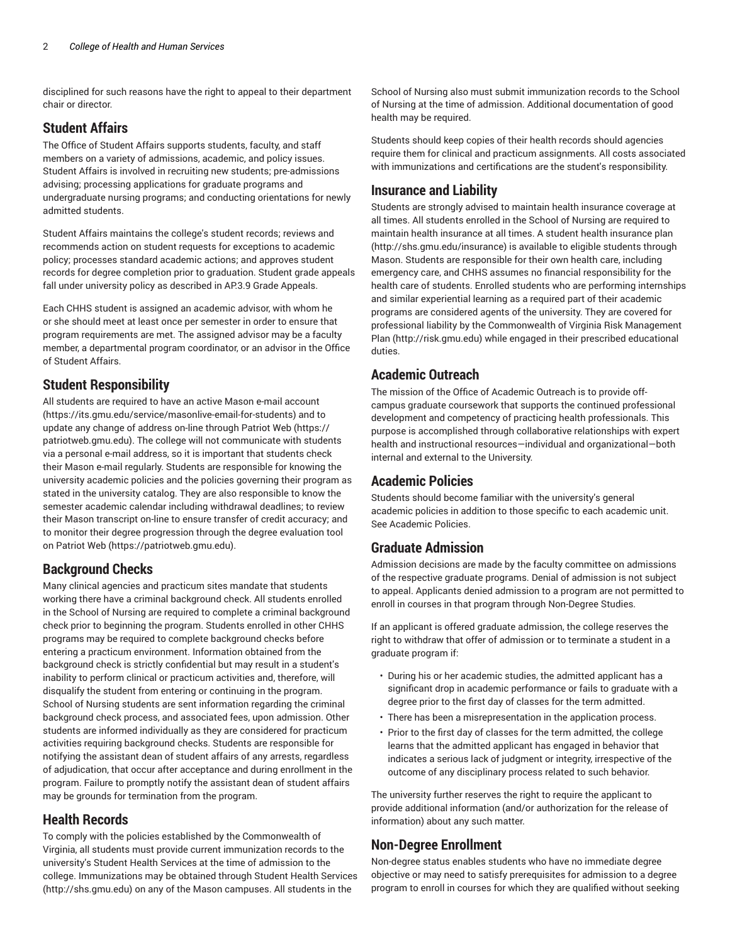disciplined for such reasons have the right to appeal to their department chair or director.

#### **Student Affairs**

The Office of Student Affairs supports students, faculty, and staff members on a variety of admissions, academic, and policy issues. Student Affairs is involved in recruiting new students; pre-admissions advising; processing applications for graduate programs and undergraduate nursing programs; and conducting orientations for newly admitted students.

Student Affairs maintains the college's student records; reviews and recommends action on student requests for exceptions to academic policy; processes standard academic actions; and approves student records for degree completion prior to graduation. Student grade appeals fall under university policy as described in AP.3.9 Grade Appeals.

Each CHHS student is assigned an academic advisor, with whom he or she should meet at least once per semester in order to ensure that program requirements are met. The assigned advisor may be a faculty member, a departmental program coordinator, or an advisor in the Office of Student Affairs.

#### **Student Responsibility**

All students are required to have an active Mason e-mail account (https://its.gmu.edu/service/masonlive-email-for-students) and to update any change of address on-line through Patriot Web (https:// patriotweb.gmu.edu). The college will not communicate with students via a personal e-mail address, so it is important that students check their Mason e-mail regularly. Students are responsible for knowing the university academic policies and the policies governing their program as stated in the university catalog. They are also responsible to know the semester academic calendar including withdrawal deadlines; to review their Mason transcript on-line to ensure transfer of credit accuracy; and to monitor their degree progression through the degree evaluation tool on Patriot Web (https://patriotweb.gmu.edu).

## **Background Checks**

Many clinical agencies and practicum sites mandate that students working there have a criminal background check. All students enrolled in the School of Nursing are required to complete a criminal background check prior to beginning the program. Students enrolled in other CHHS programs may be required to complete background checks before entering a practicum environment. Information obtained from the background check is strictly confidential but may result in a student's inability to perform clinical or practicum activities and, therefore, will disqualify the student from entering or continuing in the program. School of Nursing students are sent information regarding the criminal background check process, and associated fees, upon admission. Other students are informed individually as they are considered for practicum activities requiring background checks. Students are responsible for notifying the assistant dean of student affairs of any arrests, regardless of adjudication, that occur after acceptance and during enrollment in the program. Failure to promptly notify the assistant dean of student affairs may be grounds for termination from the program.

#### **Health Records**

To comply with the policies established by the Commonwealth of Virginia, all students must provide current immunization records to the university's Student Health Services at the time of admission to the college. Immunizations may be obtained through Student Health Services (http://shs.gmu.edu) on any of the Mason campuses. All students in the

School of Nursing also must submit immunization records to the School of Nursing at the time of admission. Additional documentation of good health may be required.

Students should keep copies of their health records should agencies require them for clinical and practicum assignments. All costs associated with immunizations and certifications are the student's responsibility.

### **Insurance and Liability**

Students are strongly advised to maintain health insurance coverage at all times. All students enrolled in the School of Nursing are required to maintain health insurance at all times. A student health insurance plan (http://shs.gmu.edu/insurance) is available to eligible students through Mason. Students are responsible for their own health care, including emergency care, and CHHS assumes no financial responsibility for the health care of students. Enrolled students who are performing internships and similar experiential learning as a required part of their academic programs are considered agents of the university. They are covered for professional liability by the Commonwealth of Virginia Risk Management Plan (http://risk.gmu.edu) while engaged in their prescribed educational duties.

#### **Academic Outreach**

The mission of the Office of Academic Outreach is to provide offcampus graduate coursework that supports the continued professional development and competency of practicing health professionals. This purpose is accomplished through collaborative relationships with expert health and instructional resources—individual and organizational—both internal and external to the University.

#### **Academic Policies**

Students should become familiar with the university's general academic policies in addition to those specific to each academic unit. See Academic Policies.

#### **Graduate Admission**

Admission decisions are made by the faculty committee on admissions of the respective graduate programs. Denial of admission is not subject to appeal. Applicants denied admission to a program are not permitted to enroll in courses in that program through Non-Degree Studies.

If an applicant is offered graduate admission, the college reserves the right to withdraw that offer of admission or to terminate a student in a graduate program if:

- During his or her academic studies, the admitted applicant has a significant drop in academic performance or fails to graduate with a degree prior to the first day of classes for the term admitted.
- There has been a misrepresentation in the application process.
- Prior to the first day of classes for the term admitted, the college learns that the admitted applicant has engaged in behavior that indicates a serious lack of judgment or integrity, irrespective of the outcome of any disciplinary process related to such behavior.

The university further reserves the right to require the applicant to provide additional information (and/or authorization for the release of information) about any such matter.

## **Non-Degree Enrollment**

Non-degree status enables students who have no immediate degree objective or may need to satisfy prerequisites for admission to a degree program to enroll in courses for which they are qualified without seeking